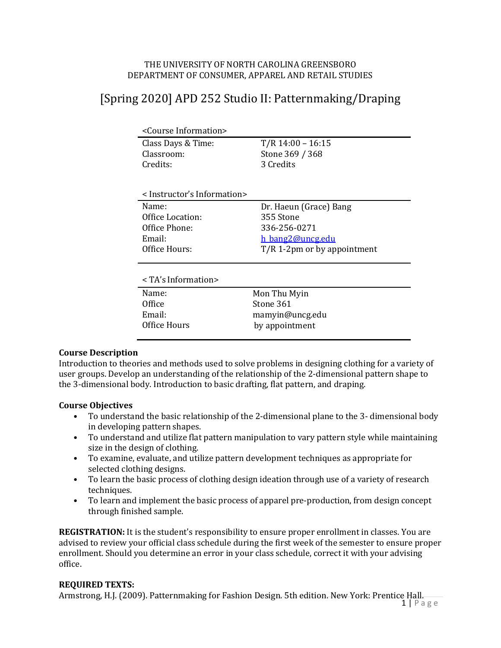### THE UNIVERSITY OF NORTH CAROLINA GREENSBORO DEPARTMENT OF CONSUMER, APPAREL AND RETAIL STUDIES

# [Spring 2020] APD 252 Studio II: Patternmaking/Draping

| <course information=""></course>               |                        |  |
|------------------------------------------------|------------------------|--|
| Class Days & Time:                             | $T/R$ 14:00 - 16:15    |  |
| Classroom:                                     | Stone 369 / 368        |  |
| Credits:                                       | 3 Credits              |  |
| <instructor's information=""></instructor's>   |                        |  |
| Name:                                          | Dr. Haeun (Grace) Bang |  |
| Office Location:                               | 355 Stone              |  |
| Office Phone:                                  | 336-256-0271           |  |
| Email:                                         | h bang2@uncg.edu       |  |
| Office Hours:<br>$T/R$ 1-2pm or by appointment |                        |  |
| $\leq$ TA's Information>                       |                        |  |
| Name:                                          | Mon Thu Myin           |  |
| Office                                         | Stone 361              |  |
| Email:                                         | mamyin@uncg.edu        |  |
|                                                |                        |  |

# **Course Description**

Introduction to theories and methods used to solve problems in designing clothing for a variety of user groups. Develop an understanding of the relationship of the 2-dimensional pattern shape to the 3-dimensional body. Introduction to basic drafting, flat pattern, and draping.

### **Course Objectives**

- To understand the basic relationship of the 2-dimensional plane to the 3- dimensional body in developing pattern shapes.
- To understand and utilize flat pattern manipulation to vary pattern style while maintaining size in the design of clothing.
- To examine, evaluate, and utilize pattern development techniques as appropriate for selected clothing designs.
- To learn the basic process of clothing design ideation through use of a variety of research techniques.
- To learn and implement the basic process of apparel pre-production, from design concept through finished sample.

**REGISTRATION:** It is the student's responsibility to ensure proper enrollment in classes. You are advised to review your official class schedule during the first week of the semester to ensure proper enrollment. Should you determine an error in your class schedule, correct it with your advising office.

# **REQUIRED TEXTS:**

Armstrong, H.J. (2009). Patternmaking for Fashion Design. 5th edition. New York: Prentice Hall.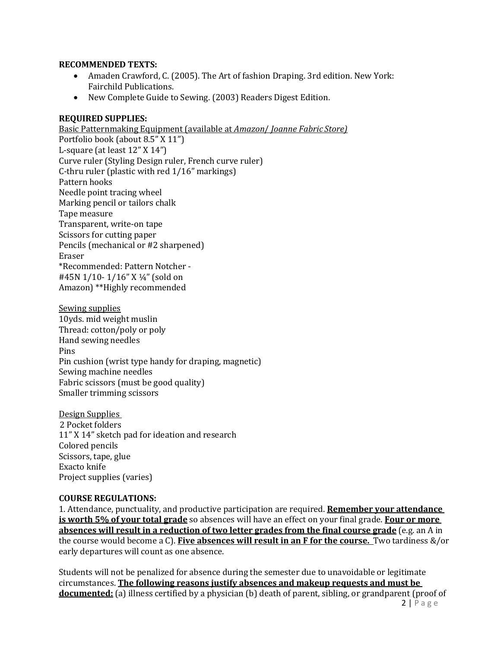#### **RECOMMENDED TEXTS:**

- Amaden Crawford, C. (2005). The Art of fashion Draping. 3rd edition. New York: Fairchild Publications.
- New Complete Guide to Sewing. (2003) Readers Digest Edition.

### **REQUIRED SUPPLIES:**

Basic Patternmaking Equipment (available at *Amazon* / *Joanne Fabric Store*) Portfolio book (about 8.5" X 11") L-square (at least  $12"$  X  $14"$ ) Curve ruler (Styling Design ruler, French curve ruler) C-thru ruler (plastic with red  $1/16$ " markings) Pattern hooks Needle point tracing wheel Marking pencil or tailors chalk Tape measure Transparent, write-on tape Scissors for cutting paper Pencils (mechanical or #2 sharpened) Eraser \*Recommended: Pattern Notcher - #45N 1/10-1/16" X 1/4" (sold on Amazon) \*\*Highly recommended

Sewing supplies 10yds. mid weight muslin Thread: cotton/poly or poly Hand sewing needles Pins Pin cushion (wrist type handy for draping, magnetic) Sewing machine needles Fabric scissors (must be good quality) Smaller trimming scissors

Design Supplies 2 Pocket folders 11" X 14" sketch pad for ideation and research Colored pencils Scissors, tape, glue Exacto knife Project supplies (varies)

### **COURSE REGULATIONS:**

1. Attendance, punctuality, and productive participation are required. **Remember your attendance is worth 5% of your total grade** so absences will have an effect on your final grade. **Four or more absences will result in a reduction of two letter grades from the final course grade** (e.g. an A in the course would become a C). **Five absences will result in an F for the course.** Two tardiness &/or early departures will count as one absence.

2 | P a g e Students will not be penalized for absence during the semester due to unavoidable or legitimate circumstances. **The following reasons justify absences and makeup requests and must be documented:** (a) illness certified by a physician (b) death of parent, sibling, or grandparent (proof of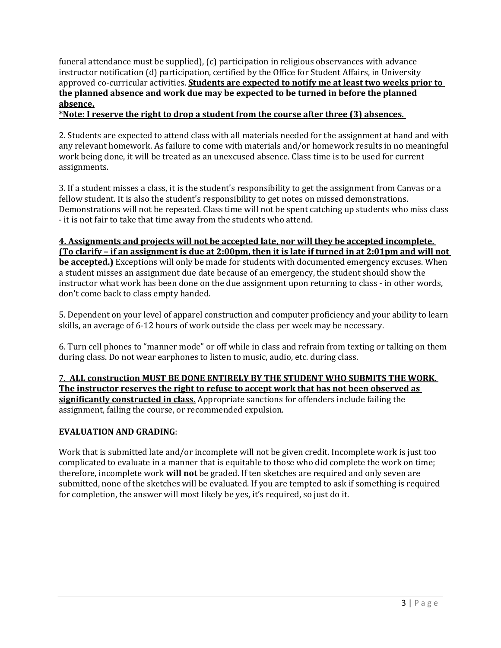funeral attendance must be supplied),  $(c)$  participation in religious observances with advance instructor notification (d) participation, certified by the Office for Student Affairs, in University approved co-curricular activities. **Students are expected to notify me at least two weeks prior to** the planned absence and work due may be expected to be turned in before the planned **absence.**

\*Note: I reserve the right to drop a student from the course after three (3) absences.

2. Students are expected to attend class with all materials needed for the assignment at hand and with any relevant homework. As failure to come with materials and/or homework results in no meaningful work being done, it will be treated as an unexcused absence. Class time is to be used for current assignments. 

3. If a student misses a class, it is the student's responsibility to get the assignment from Canvas or a fellow student. It is also the student's responsibility to get notes on missed demonstrations. Demonstrations will not be repeated. Class time will not be spent catching up students who miss class - it is not fair to take that time away from the students who attend.

# **4.** Assignments and projects will not be accepted late, nor will they be accepted incomplete.

**(To clarify – if an assignment is due at 2:00pm, then it is late if turned in at 2:01pm and will not be accepted.)** Exceptions will only be made for students with documented emergency excuses. When a student misses an assignment due date because of an emergency, the student should show the instructor what work has been done on the due assignment upon returning to class - in other words, don't come back to class empty handed.

5. Dependent on your level of apparel construction and computer proficiency and your ability to learn skills, an average of 6-12 hours of work outside the class per week may be necessary.

6. Turn cell phones to "manner mode" or off while in class and refrain from texting or talking on them during class. Do not wear earphones to listen to music, audio, etc. during class.

7. ALL construction MUST BE DONE ENTIRELY BY THE STUDENT WHO SUBMITS THE WORK. The instructor reserves the right to refuse to accept work that has not been observed as **significantly constructed in class.** Appropriate sanctions for offenders include failing the assignment, failing the course, or recommended expulsion.

# **EVALUATION AND GRADING:**

Work that is submitted late and/or incomplete will not be given credit. Incomplete work is just too complicated to evaluate in a manner that is equitable to those who did complete the work on time; therefore, incomplete work **will not** be graded. If ten sketches are required and only seven are submitted, none of the sketches will be evaluated. If you are tempted to ask if something is required for completion, the answer will most likely be yes, it's required, so just do it.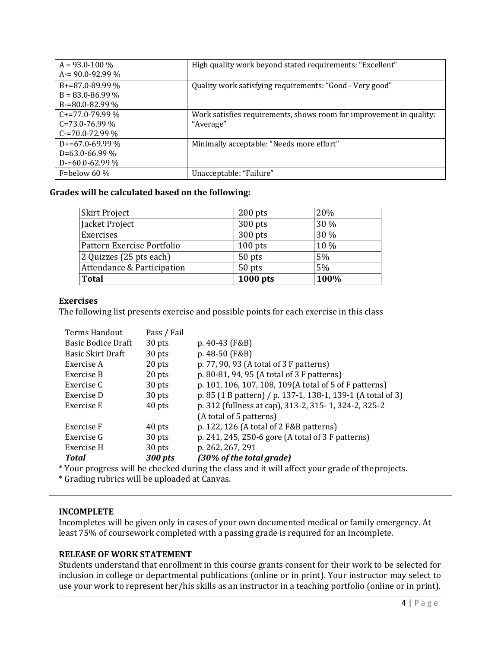| $A = 93.0 - 100\%$   | High quality work beyond stated requirements: "Excellent"           |
|----------------------|---------------------------------------------------------------------|
| $A = 90.0 - 92.99 %$ |                                                                     |
| $B+=87.0-89.99\%$    | Quality work satisfying requirements: "Good - Very good"            |
| $B = 83.0 - 86.99\%$ |                                                                     |
| $B = 80.0 - 82.99\%$ |                                                                     |
| $C+=77.0-79.99\%$    | Work satisfies requirements, shows room for improvement in quality: |
| $C = 73.0 - 76.99\%$ | "Average"                                                           |
| $C = 70.0 - 72.99\%$ |                                                                     |
| $D+=67.0-69.99\%$    | Minimally acceptable: "Needs more effort"                           |
| $D=63.0-66.99\%$     |                                                                     |
| $D = 60.0 - 62.99\%$ |                                                                     |
| F=below 60 $\%$      | Unacceptable: "Failure"                                             |

### Grades will be calculated based on the following:

| <b>Skirt Project</b>       | $200$ pts | 20%  |
|----------------------------|-----------|------|
| Jacket Project             | 300 pts   | 30 % |
| Exercises                  | 300 pts   | 30 % |
| Pattern Exercise Portfolio | $100$ pts | 10 % |
| 2 Quizzes (25 pts each)    | 50 pts    | 5%   |
| Attendance & Participation | 50 pts    | 5%   |
| <b>Total</b>               | 1000 pts  | 100% |

### **Exercises**

The following list presents exercise and possible points for each exercise in this class

| Terms Handout             | Pass / Fail |                                                             |
|---------------------------|-------------|-------------------------------------------------------------|
| <b>Basic Bodice Draft</b> | 30 pts      | p. 40-43 (F&B)                                              |
| <b>Basic Skirt Draft</b>  | 30 pts      | p. 48-50 (F&B)                                              |
| Exercise A                | 20 pts      | p. 77, 90, 93 (A total of 3 F patterns)                     |
| Exercise B                | 20 pts      | p. 80-81, 94, 95 (A total of 3 F patterns)                  |
| Exercise C                | 30 pts      | p. 101, 106, 107, 108, 109(A total of 5 of F patterns)      |
| Exercise D                | 30 pts      | p. 85 (1 B pattern) / p. 137-1, 138-1, 139-1 (A total of 3) |
| Exercise E                | 40 pts      | p. 312 (fullness at cap), 313-2, 315-1, 324-2, 325-2        |
|                           |             | (A total of 5 patterns)                                     |
| Exercise F                | 40 pts      | p. 122, 126 (A total of 2 F&B patterns)                     |
| Exercise G                | 30 pts      | p. 241, 245, 250-6 gore (A total of 3 F patterns)           |
| Exercise H                | 30 pts      | p. 262, 267, 291                                            |
| Total                     | 300 pts     | (30% of the total grade)                                    |

\* Your progress will be checked during the class and it will affect your grade of the projects.

\* Grading rubrics will be uploaded at Canvas.

# **INCOMPLETE**

Incompletes will be given only in cases of your own documented medical or family emergency. At least 75% of coursework completed with a passing grade is required for an Incomplete.

# **RELEASE OF WORK STATEMENT**

Students understand that enrollment in this course grants consent for their work to be selected for inclusion in college or departmental publications (online or in print). Your instructor may select to use your work to represent her/his skills as an instructor in a teaching portfolio (online or in print).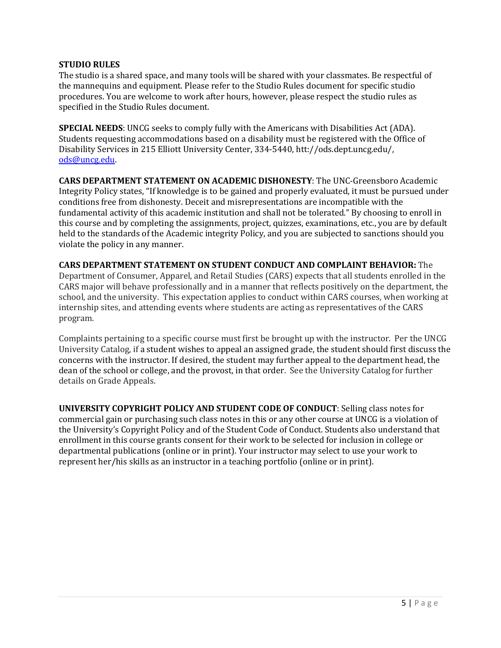### **STUDIO RULES**

The studio is a shared space, and many tools will be shared with your classmates. Be respectful of the mannequins and equipment. Please refer to the Studio Rules document for specific studio procedures. You are welcome to work after hours, however, please respect the studio rules as specified in the Studio Rules document.

**SPECIAL NEEDS:** UNCG seeks to comply fully with the Americans with Disabilities Act (ADA). Students requesting accommodations based on a disability must be registered with the Office of Disability Services in 215 Elliott University Center, 334-5440, htt://ods.dept.uncg.edu/, ods@uncg.edu.

**CARS DEPARTMENT STATEMENT ON ACADEMIC DISHONESTY:** The UNC-Greensboro Academic Integrity Policy states, "If knowledge is to be gained and properly evaluated, it must be pursued under conditions free from dishonesty. Deceit and misrepresentations are incompatible with the fundamental activity of this academic institution and shall not be tolerated." By choosing to enroll in this course and by completing the assignments, project, quizzes, examinations, etc., you are by default held to the standards of the Academic integrity Policy, and you are subjected to sanctions should you violate the policy in any manner.

**CARS DEPARTMENT STATEMENT ON STUDENT CONDUCT AND COMPLAINT BEHAVIOR:** The Department of Consumer, Apparel, and Retail Studies (CARS) expects that all students enrolled in the CARS major will behave professionally and in a manner that reflects positively on the department, the school, and the university. This expectation applies to conduct within CARS courses, when working at internship sites, and attending events where students are acting as representatives of the CARS program.

Complaints pertaining to a specific course must first be brought up with the instructor. Per the UNCG University Catalog, if a student wishes to appeal an assigned grade, the student should first discuss the concerns with the instructor. If desired, the student may further appeal to the department head, the dean of the school or college, and the provost, in that order. See the University Catalog for further details on Grade Appeals.

**UNIVERSITY COPYRIGHT POLICY AND STUDENT CODE OF CONDUCT:** Selling class notes for commercial gain or purchasing such class notes in this or any other course at UNCG is a violation of the University's Copyright Policy and of the Student Code of Conduct. Students also understand that enrollment in this course grants consent for their work to be selected for inclusion in college or departmental publications (online or in print). Your instructor may select to use your work to represent her/his skills as an instructor in a teaching portfolio (online or in print).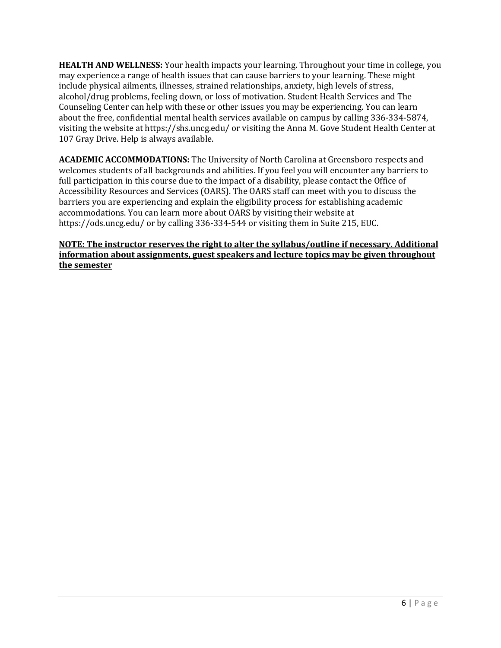**HEALTH AND WELLNESS:** Your health impacts your learning. Throughout your time in college, you may experience a range of health issues that can cause barriers to your learning. These might include physical ailments, illnesses, strained relationships, anxiety, high levels of stress, alcohol/drug problems, feeling down, or loss of motivation. Student Health Services and The Counseling Center can help with these or other issues you may be experiencing. You can learn about the free, confidential mental health services available on campus by calling 336-334-5874, visiting the website at https://shs.uncg.edu/ or visiting the Anna M. Gove Student Health Center at 107 Gray Drive. Help is always available.

**ACADEMIC ACCOMMODATIONS:** The University of North Carolina at Greensboro respects and welcomes students of all backgrounds and abilities. If you feel you will encounter any barriers to full participation in this course due to the impact of a disability, please contact the Office of Accessibility Resources and Services (OARS). The OARS staff can meet with you to discuss the barriers you are experiencing and explain the eligibility process for establishing academic accommodations. You can learn more about OARS by visiting their website at https://ods.uncg.edu/ or by calling 336-334-544 or visiting them in Suite 215, EUC.

# **NOTE:** The instructor reserves the right to alter the syllabus/outline if necessary. Additional **information about assignments, guest speakers and lecture topics may be given throughout the semester**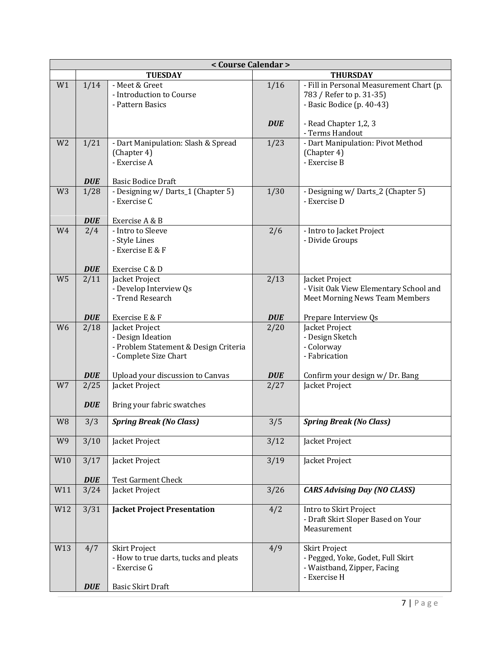| < Course Calendar > |                    |                                                                                                           |            |                                                                                                          |  |  |
|---------------------|--------------------|-----------------------------------------------------------------------------------------------------------|------------|----------------------------------------------------------------------------------------------------------|--|--|
|                     | <b>TUESDAY</b>     |                                                                                                           |            | <b>THURSDAY</b>                                                                                          |  |  |
| W1                  | 1/14               | - Meet & Greet<br>- Introduction to Course<br>- Pattern Basics                                            | 1/16       | - Fill in Personal Measurement Chart (p.<br>783 / Refer to p. 31-35)<br>- Basic Bodice (p. 40-43)        |  |  |
|                     |                    |                                                                                                           | <b>DUE</b> | - Read Chapter 1,2, 3<br>- Terms Handout                                                                 |  |  |
| W <sub>2</sub>      | 1/21               | - Dart Manipulation: Slash & Spread<br>(Chapter 4)<br>- Exercise A                                        | 1/23       | - Dart Manipulation: Pivot Method<br>(Chapter 4)<br>- Exercise B                                         |  |  |
|                     | <b>DUE</b>         | <b>Basic Bodice Draft</b>                                                                                 |            |                                                                                                          |  |  |
| W <sub>3</sub>      | 1/28               | - Designing w/ Darts_1 (Chapter 5)<br>- Exercise C                                                        | 1/30       | - Designing w/ Darts_2 (Chapter 5)<br>- Exercise D                                                       |  |  |
| W4                  | <b>DUE</b><br>2/4  | Exercise A & B<br>- Intro to Sleeve                                                                       | 2/6        | - Intro to Jacket Project                                                                                |  |  |
|                     |                    | - Style Lines<br>- Exercise E & F                                                                         |            | - Divide Groups                                                                                          |  |  |
|                     | <b>DUE</b>         | Exercise C & D                                                                                            |            |                                                                                                          |  |  |
| W <sub>5</sub>      | 2/11               | Jacket Project<br>- Develop Interview Qs<br>- Trend Research                                              | 2/13       | Jacket Project<br>- Visit Oak View Elementary School and<br><b>Meet Morning News Team Members</b>        |  |  |
|                     | <b>DUE</b>         | Exercise E & F                                                                                            | <b>DUE</b> | Prepare Interview Qs                                                                                     |  |  |
| W <sub>6</sub>      | 2/18               | Jacket Project<br>- Design Ideation<br>- Problem Statement & Design Criteria<br>- Complete Size Chart     | 2/20       | Jacket Project<br>- Design Sketch<br>- Colorway<br>- Fabrication                                         |  |  |
|                     | <b>DUE</b>         | Upload your discussion to Canvas                                                                          | <b>DUE</b> | Confirm your design w/ Dr. Bang                                                                          |  |  |
| W7                  | 2/25<br><b>DUE</b> | Jacket Project<br>Bring your fabric swatches                                                              | 2/27       | Jacket Project                                                                                           |  |  |
| W <sub>8</sub>      | 3/3                | <b>Spring Break (No Class)</b>                                                                            | 3/5        | <b>Spring Break (No Class)</b>                                                                           |  |  |
| W9                  | 3/10               | Jacket Project                                                                                            | 3/12       | Jacket Project                                                                                           |  |  |
| W10                 | $\overline{3}/17$  | Jacket Project                                                                                            | 3/19       | Jacket Project                                                                                           |  |  |
|                     | <b>DUE</b>         | <b>Test Garment Check</b>                                                                                 |            |                                                                                                          |  |  |
| W11                 | 3/24               | Jacket Project                                                                                            | 3/26       | <b>CARS Advising Day (NO CLASS)</b>                                                                      |  |  |
| W12                 | 3/31               | <b>Jacket Project Presentation</b>                                                                        | 4/2        | Intro to Skirt Project<br>- Draft Skirt Sloper Based on Your<br>Measurement                              |  |  |
| W13                 | 4/7<br><b>DUE</b>  | <b>Skirt Project</b><br>- How to true darts, tucks and pleats<br>- Exercise G<br><b>Basic Skirt Draft</b> | 4/9        | <b>Skirt Project</b><br>- Pegged, Yoke, Godet, Full Skirt<br>- Waistband, Zipper, Facing<br>- Exercise H |  |  |
|                     |                    |                                                                                                           |            |                                                                                                          |  |  |